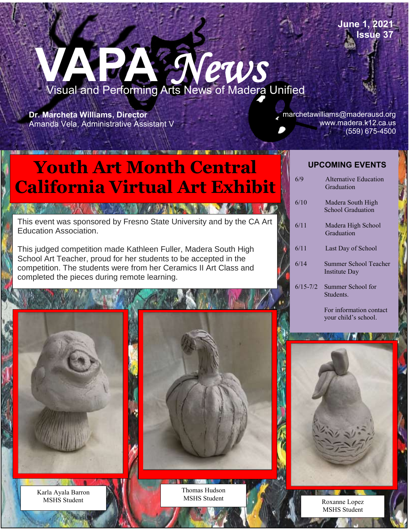**June 1, 2021 Issue 37**

## **VAPA** *News*  Visual and Performing Arts News of Madera Unified

School District

**Dr. Marcheta Williams, Director** Amanda Vela, Administrative Assistant V

Po#181769

I

J

۱

marchetawilliams@maderausd.org www.madera.k12.ca.us (559) 675-4500

## **Youth Art Month Central | UPCOMING EVENTS California Virtual Art Exhibit**

This event was sponsored by Fresno State University and by the CA Art Education Association.

**A BACK AND A BANKA AND A BACK U** 

This judged competition made Kathleen Fuller, Madera South High School Art Teacher, proud for her students to be accepted in the competition. The students were from her Ceramics II Art Class and completed the pieces during remote learning.

| 6/9          | Alternative Education<br>Graduation           |
|--------------|-----------------------------------------------|
| 6/10         | Madera South High<br><b>School Graduation</b> |
| 6/11         | Madera High School<br>Graduation              |
| 6/11         | Last Day of School                            |
| 6/14         | Summer School Teacher<br>Institute Day        |
| $6/15 - 7/2$ | Summer School for<br>Students.                |

 For information contact your child's school.

MSHS Student

Karla Ayala Barron MSHS Student

Thomas Hudson MSHS Student Roxanne Lopez